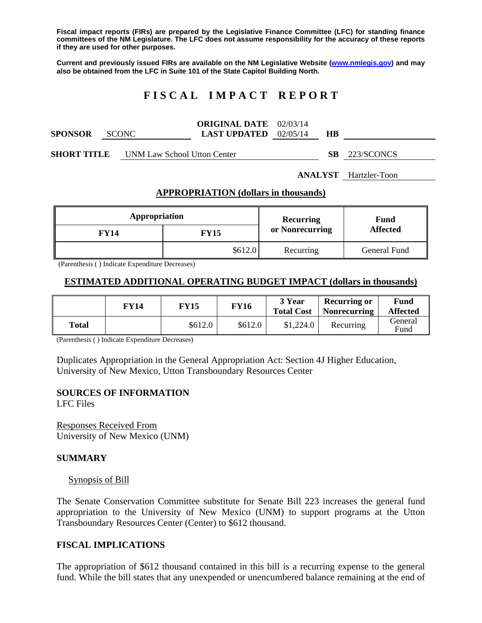**Fiscal impact reports (FIRs) are prepared by the Legislative Finance Committee (LFC) for standing finance committees of the NM Legislature. The LFC does not assume responsibility for the accuracy of these reports if they are used for other purposes.** 

**Current and previously issued FIRs are available on the NM Legislative Website (www.nmlegis.gov) and may also be obtained from the LFC in Suite 101 of the State Capitol Building North.** 

# **F I S C A L I M P A C T R E P O R T**

|                |              | <b>ORIGINAL DATE</b> 02/03/14  |           |  |
|----------------|--------------|--------------------------------|-----------|--|
| <b>SPONSOR</b> | <b>SCONC</b> | <b>LAST UPDATED</b> $02/05/14$ | <b>HB</b> |  |
|                |              |                                |           |  |

**SHORT TITLE** UNM Law School Utton Center **SB** 223/SCONCS

**ANALYST** Hartzler-Toon

#### **APPROPRIATION (dollars in thousands)**

| Appropriation |             | Recurring       | Fund<br><b>Affected</b> |  |
|---------------|-------------|-----------------|-------------------------|--|
| <b>FY14</b>   | <b>FY15</b> | or Nonrecurring |                         |  |
|               | \$612.0     | Recurring       | General Fund            |  |

(Parenthesis ( ) Indicate Expenditure Decreases)

#### **ESTIMATED ADDITIONAL OPERATING BUDGET IMPACT (dollars in thousands)**

|       | FY 14 | <b>FY15</b> | <b>FY16</b> | 3 Year<br><b>Total Cost</b> | <b>Recurring or</b><br><b>Nonrecurring</b> | Fund<br><b>Affected</b> |
|-------|-------|-------------|-------------|-----------------------------|--------------------------------------------|-------------------------|
| Total |       | \$612.0     | \$612.0     | \$1,224.0                   | Recurring                                  | General<br>Fund         |

(Parenthesis ( ) Indicate Expenditure Decreases)

Duplicates Appropriation in the General Appropriation Act: Section 4J Higher Education, University of New Mexico, Utton Transboundary Resources Center

#### **SOURCES OF INFORMATION**

LFC Files

Responses Received From University of New Mexico (UNM)

### **SUMMARY**

#### Synopsis of Bill

The Senate Conservation Committee substitute for Senate Bill 223 increases the general fund appropriation to the University of New Mexico (UNM) to support programs at the Utton Transboundary Resources Center (Center) to \$612 thousand.

### **FISCAL IMPLICATIONS**

The appropriation of \$612 thousand contained in this bill is a recurring expense to the general fund. While the bill states that any unexpended or unencumbered balance remaining at the end of